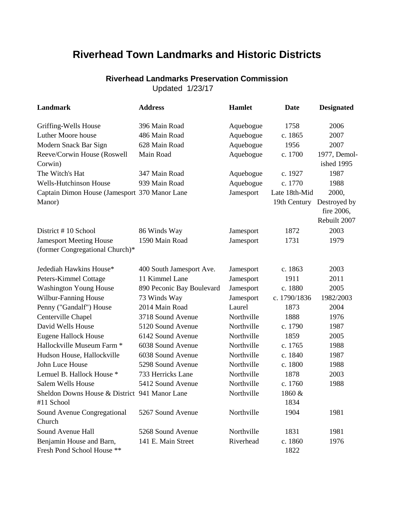## **Riverhead Town Landmarks and Historic Districts**

## Updated 1/23/17 **Riverhead Landmarks Preservation Commission**

**Landmark Address Hamlet Date Designated** Griffing-Wells House 396 Main Road Aquebogue 1758 2006 Luther Moore house 486 Main Road Aquebogue c. 1865 2007 Modern Snack Bar Sign 628 Main Road Aquebogue 1956 2007 Reeve/Corwin House (Roswell Corwin) Main Road **Aquebogue** c. 1700 1977, Demolished 1995 The Witch's Hat 347 Main Road Aquebogue c. 1927 1987 Wells-Hutchinson House 939 Main Road Aquebogue c. 1770 1988 Captain Dimon House (Jamesport 370 Manor Lane Jamesport Late 18th-Mid Manor) 19th Century Destroyed by 2000, fire 2006, Rebuilt 2007 District # 10 School 86 Winds Way Jamesport 1872 2003 Jamesport Meeting House (former Congregational Church)\* 1590 Main Road Jamesport 1731 1979 Jedediah Hawkins House\* 400 South Jamesport Ave. Jamesport c. 1863 2003 Peters-Kimmel Cottage 11 Kimmel Lane Jamesport 1911 2011 Washington Young House 890 Peconic Bay Boulevard Jamesport c. 1880 2005 Wilbur-Fanning House 73 Winds Way Jamesport c. 1790/1836 1982/2003 Penny ("Gandalf") House 2014 Main Road Laurel 1873 2004 Centerville Chapel 3718 Sound Avenue Northville 1888 1976 David Wells House 5120 Sound Avenue Northville c. 1790 1987 Eugene Hallock House 6142 Sound Avenue Northville 1859 2005 Hallockville Museum Farm \* 6038 Sound Avenue Northville c. 1765 1988 Hudson House, Hallockville 6038 Sound Avenue Northville c. 1840 1987 John Luce House 5298 Sound Avenue Northville c. 1800 1988 Lemuel B. Hallock House \* 733 Herricks Lane Northville 1878 2003 Salem Wells House 5412 Sound Avenue Northville c. 1760 1988 Sheldon Downs House & District 941 Manor Lane Northville 1860 & #11 School 1834 Sound Avenue Congregational Church 5267 Sound Avenue Northville 1904 1981 Sound Avenue Hall **5268** Sound Avenue Northville 1831 1981 Benjamin House and Barn, Fresh Pond School House \*\* 141 E. Main Street Riverhead c. 1860 1822 1976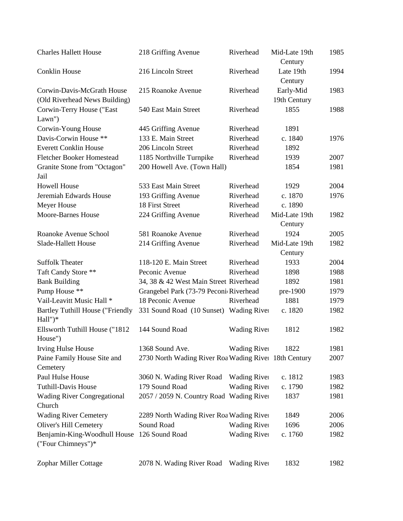| <b>Charles Hallett House</b>                 | 218 Griffing Avenue                                   | Riverhead           | Mid-Late 19th<br>Century | 1985 |
|----------------------------------------------|-------------------------------------------------------|---------------------|--------------------------|------|
| <b>Conklin House</b>                         | 216 Lincoln Street                                    | Riverhead           | Late 19th<br>Century     | 1994 |
| Corwin-Davis-McGrath House                   | 215 Roanoke Avenue                                    | Riverhead           | Early-Mid                | 1983 |
| (Old Riverhead News Building)                |                                                       |                     | 19th Century             |      |
| Corwin-Terry House ("East                    | 540 East Main Street                                  | Riverhead           | 1855                     | 1988 |
| Lawn")                                       |                                                       |                     |                          |      |
| Corwin-Young House                           | 445 Griffing Avenue                                   | Riverhead           | 1891                     |      |
| Davis-Corwin House **                        | 133 E. Main Street                                    | Riverhead           | c. 1840                  | 1976 |
| <b>Everett Conklin House</b>                 | 206 Lincoln Street                                    | Riverhead           | 1892                     |      |
| <b>Fletcher Booker Homestead</b>             | 1185 Northville Turnpike                              | Riverhead           | 1939                     | 2007 |
| Granite Stone from "Octagon"                 | 200 Howell Ave. (Town Hall)                           |                     | 1854                     | 1981 |
| Jail                                         |                                                       |                     |                          |      |
| <b>Howell House</b>                          | 533 East Main Street                                  | Riverhead           | 1929                     | 2004 |
| Jeremiah Edwards House                       | 193 Griffing Avenue                                   | Riverhead           | c. 1870                  | 1976 |
| Meyer House                                  | 18 First Street                                       | Riverhead           | c. 1890                  |      |
| <b>Moore-Barnes House</b>                    | 224 Griffing Avenue                                   | Riverhead           | Mid-Late 19th            | 1982 |
|                                              |                                                       |                     | Century                  |      |
| Roanoke Avenue School                        | 581 Roanoke Avenue                                    | Riverhead           | 1924                     | 2005 |
| Slade-Hallett House                          | 214 Griffing Avenue                                   | Riverhead           | Mid-Late 19th            | 1982 |
|                                              |                                                       |                     | Century                  |      |
| <b>Suffolk Theater</b>                       | 118-120 E. Main Street                                | Riverhead           | 1933                     | 2004 |
| Taft Candy Store **                          | Peconic Avenue                                        | Riverhead           | 1898                     | 1988 |
| <b>Bank Building</b>                         | 34, 38 & 42 West Main Street Riverhead                |                     | 1892                     | 1981 |
| Pump House **                                | Grangebel Park (73-79 Peconic Riverhead               |                     | pre-1900                 | 1979 |
| Vail-Leavitt Music Hall *                    | 18 Peconic Avenue                                     | Riverhead           | 1881                     | 1979 |
| <b>Bartley Tuthill House ("Friendly</b>      | 331 Sound Road (10 Sunset) Wading River               |                     | c. 1820                  | 1982 |
| Hall")*                                      |                                                       |                     |                          |      |
| Ellsworth Tuthill House ("1812               | 144 Sound Road                                        | <b>Wading River</b> | 1812                     | 1982 |
| House")                                      |                                                       |                     |                          |      |
| <b>Irving Hulse House</b>                    | 1368 Sound Ave.                                       | <b>Wading River</b> | 1822                     | 1981 |
| Paine Family House Site and<br>Cemetery      | 2730 North Wading River Roa Wading River 18th Century |                     |                          | 2007 |
| Paul Hulse House                             | 3060 N. Wading River Road                             | <b>Wading River</b> | c. 1812                  | 1983 |
| <b>Tuthill-Davis House</b>                   | 179 Sound Road                                        | <b>Wading River</b> | c. 1790                  | 1982 |
| <b>Wading River Congregational</b><br>Church | 2057 / 2059 N. Country Road Wading River              |                     | 1837                     | 1981 |
| <b>Wading River Cemetery</b>                 | 2289 North Wading River Roa Wading River              |                     | 1849                     | 2006 |
| Oliver's Hill Cemetery                       | Sound Road                                            | <b>Wading River</b> | 1696                     | 2006 |
| Benjamin-King-Woodhull House                 | 126 Sound Road                                        | <b>Wading River</b> | c. 1760                  | 1982 |
| ("Four Chimneys")*                           |                                                       |                     |                          |      |
| Zophar Miller Cottage                        | 2078 N. Wading River Road                             | <b>Wading River</b> | 1832                     | 1982 |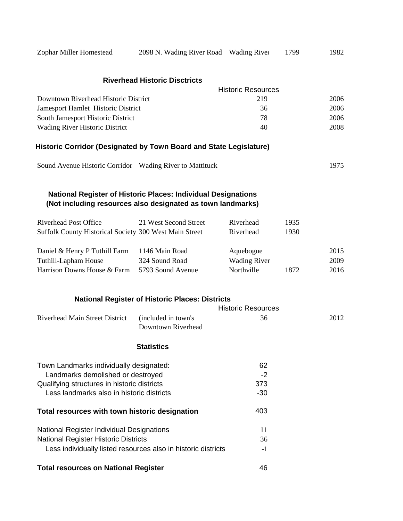| Zophar Miller Homestead                                            | 2098 N. Wading River Road Wading River                                                                                              |                           | 1799 | 1982 |
|--------------------------------------------------------------------|-------------------------------------------------------------------------------------------------------------------------------------|---------------------------|------|------|
|                                                                    | <b>Riverhead Historic Disctricts</b>                                                                                                |                           |      |      |
|                                                                    |                                                                                                                                     | <b>Historic Resources</b> |      |      |
| Downtown Riverhead Historic District                               |                                                                                                                                     | 219                       |      | 2006 |
| Jamesport Hamlet Historic District                                 |                                                                                                                                     | 36                        |      | 2006 |
| South Jamesport Historic District                                  |                                                                                                                                     | 78                        |      | 2006 |
| Wading River Historic District                                     |                                                                                                                                     | 40                        |      | 2008 |
| Historic Corridor (Designated by Town Board and State Legislature) |                                                                                                                                     |                           |      |      |
| Sound Avenue Historic Corridor Wading River to Mattituck           |                                                                                                                                     |                           |      | 1975 |
|                                                                    | <b>National Register of Historic Places: Individual Designations</b><br>(Not including resources also designated as town landmarks) |                           |      |      |
| <b>Riverhead Post Office</b>                                       | 21 West Second Street                                                                                                               | Riverhead                 | 1935 |      |
| Suffolk County Historical Society 300 West Main Street             |                                                                                                                                     | Riverhead                 | 1930 |      |
| Daniel & Henry P Tuthill Farm                                      | 1146 Main Road                                                                                                                      | Aquebogue                 |      | 2015 |
| Tuthill-Lapham House                                               | 324 Sound Road                                                                                                                      | <b>Wading River</b>       |      | 2009 |
| Harrison Downs House & Farm                                        | 5793 Sound Avenue                                                                                                                   | Northville                | 1872 | 2016 |
|                                                                    | <b>National Register of Historic Places: Districts</b>                                                                              |                           |      |      |
|                                                                    |                                                                                                                                     | <b>Historic Resources</b> |      |      |
| Riverhead Main Street District                                     | (included in town's<br>Downtown Riverhead                                                                                           | 36                        |      | 2012 |
|                                                                    | <b>Statistics</b>                                                                                                                   |                           |      |      |
| Town Landmarks individually designated:                            |                                                                                                                                     | 62                        |      |      |
| Landmarks demolished or destroyed                                  |                                                                                                                                     | $-2$                      |      |      |
| Qualifying structures in historic districts                        |                                                                                                                                     | 373                       |      |      |
| Less landmarks also in historic districts                          |                                                                                                                                     | $-30$                     |      |      |
| Total resources with town historic designation                     |                                                                                                                                     | 403                       |      |      |
| National Register Individual Designations                          |                                                                                                                                     | 11                        |      |      |
| <b>National Register Historic Districts</b>                        |                                                                                                                                     | 36                        |      |      |
|                                                                    | Less individually listed resources also in historic districts                                                                       | $-1$                      |      |      |
| <b>Total resources on National Register</b>                        |                                                                                                                                     | 46                        |      |      |